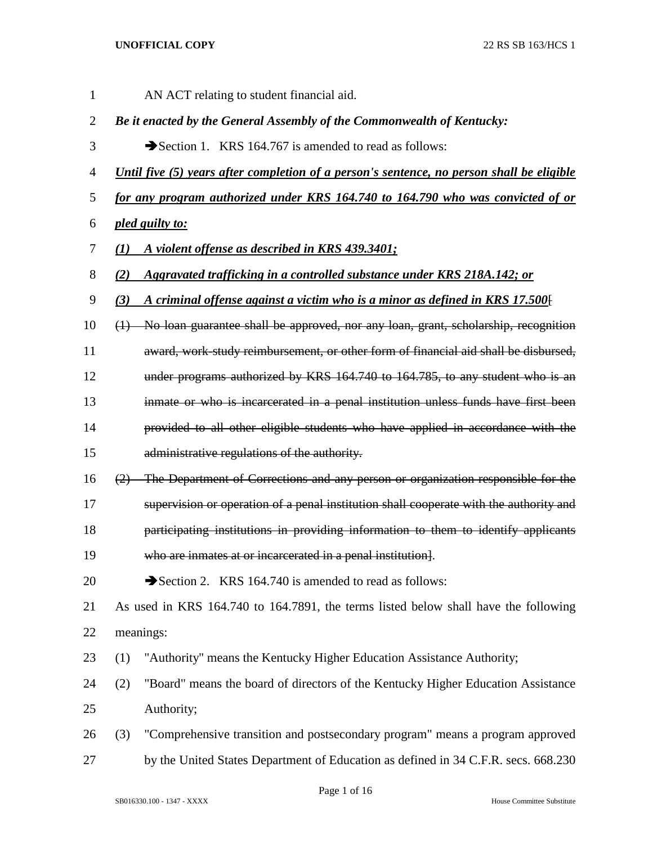AN ACT relating to student financial aid. *Be it enacted by the General Assembly of the Commonwealth of Kentucky:* 3 Section 1. KRS 164.767 is amended to read as follows: *Until five (5) years after completion of a person's sentence, no person shall be eligible for any program authorized under KRS 164.740 to 164.790 who was convicted of or pled guilty to: (1) A violent offense as described in KRS 439.3401; (2) Aggravated trafficking in a controlled substance under KRS 218A.142; or (3) A criminal offense against a victim who is a minor as defined in KRS 17.500*[ (1) No loan guarantee shall be approved, nor any loan, grant, scholarship, recognition award, work-study reimbursement, or other form of financial aid shall be disbursed, under programs authorized by KRS 164.740 to 164.785, to any student who is an inmate or who is incarcerated in a penal institution unless funds have first been provided to all other eligible students who have applied in accordance with the administrative regulations of the authority. (2) The Department of Corrections and any person or organization responsible for the supervision or operation of a penal institution shall cooperate with the authority and **participating institutions in providing information to them to identify applicants**  who are inmates at or incarcerated in a penal institution]. 20 Section 2. KRS 164.740 is amended to read as follows: As used in KRS 164.740 to 164.7891, the terms listed below shall have the following meanings: (1) "Authority" means the Kentucky Higher Education Assistance Authority; (2) "Board" means the board of directors of the Kentucky Higher Education Assistance Authority; (3) "Comprehensive transition and postsecondary program" means a program approved 27 by the United States Department of Education as defined in 34 C.F.R. secs. 668.230

Page 1 of 16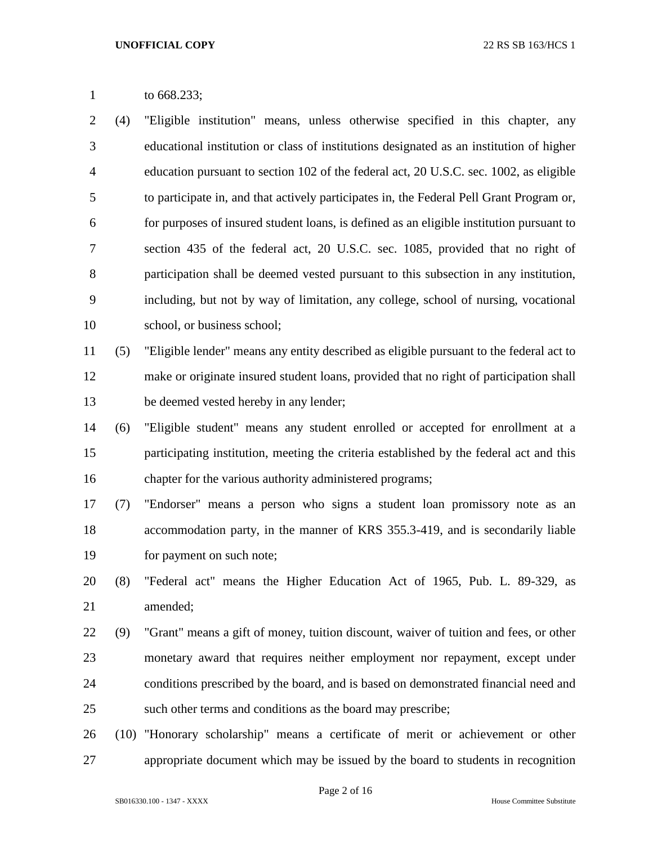to 668.233;

 (4) "Eligible institution" means, unless otherwise specified in this chapter, any educational institution or class of institutions designated as an institution of higher education pursuant to section 102 of the federal act, 20 U.S.C. sec. 1002, as eligible to participate in, and that actively participates in, the Federal Pell Grant Program or, for purposes of insured student loans, is defined as an eligible institution pursuant to section 435 of the federal act, 20 U.S.C. sec. 1085, provided that no right of participation shall be deemed vested pursuant to this subsection in any institution, including, but not by way of limitation, any college, school of nursing, vocational school, or business school;

 (5) "Eligible lender" means any entity described as eligible pursuant to the federal act to make or originate insured student loans, provided that no right of participation shall be deemed vested hereby in any lender;

- (6) "Eligible student" means any student enrolled or accepted for enrollment at a participating institution, meeting the criteria established by the federal act and this chapter for the various authority administered programs;
- (7) "Endorser" means a person who signs a student loan promissory note as an accommodation party, in the manner of KRS 355.3-419, and is secondarily liable for payment on such note;
- (8) "Federal act" means the Higher Education Act of 1965, Pub. L. 89-329, as amended;
- (9) "Grant" means a gift of money, tuition discount, waiver of tuition and fees, or other monetary award that requires neither employment nor repayment, except under conditions prescribed by the board, and is based on demonstrated financial need and such other terms and conditions as the board may prescribe;
- (10) "Honorary scholarship" means a certificate of merit or achievement or other appropriate document which may be issued by the board to students in recognition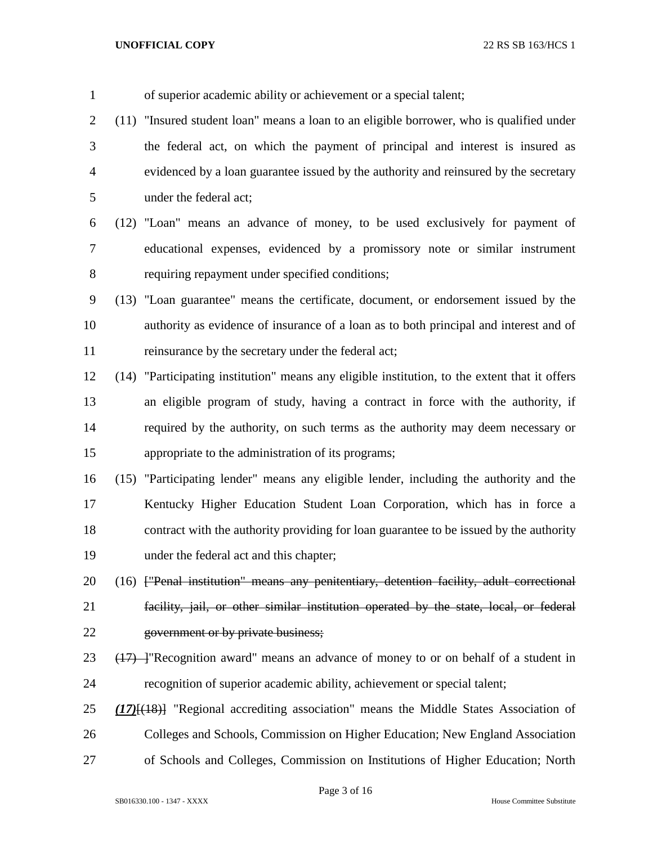| $\mathbf{1}$   | of superior academic ability or achievement or a special talent;                              |
|----------------|-----------------------------------------------------------------------------------------------|
| $\overline{2}$ | (11) "Insured student loan" means a loan to an eligible borrower, who is qualified under      |
| 3              | the federal act, on which the payment of principal and interest is insured as                 |
| $\overline{4}$ | evidenced by a loan guarantee issued by the authority and reinsured by the secretary          |
| 5              | under the federal act;                                                                        |
| 6              | (12) "Loan" means an advance of money, to be used exclusively for payment of                  |
| 7              | educational expenses, evidenced by a promissory note or similar instrument                    |
| 8              | requiring repayment under specified conditions;                                               |
| 9              | (13) "Loan guarantee" means the certificate, document, or endorsement issued by the           |
| 10             | authority as evidence of insurance of a loan as to both principal and interest and of         |
| 11             | reinsurance by the secretary under the federal act;                                           |
| 12             | (14) "Participating institution" means any eligible institution, to the extent that it offers |
| 13             | an eligible program of study, having a contract in force with the authority, if               |
| 14             | required by the authority, on such terms as the authority may deem necessary or               |
| 15             | appropriate to the administration of its programs;                                            |
| 16             | (15) "Participating lender" means any eligible lender, including the authority and the        |
| 17             | Kentucky Higher Education Student Loan Corporation, which has in force a                      |
| 18             | contract with the authority providing for loan guarantee to be issued by the authority        |
| 19             | under the federal act and this chapter;                                                       |
| 20             | (16) ["Penal institution" means any penitentiary, detention facility, adult correctional      |
| 21             | facility, jail, or other similar institution operated by the state, local, or federal         |
| 22             | government or by private business;                                                            |
| 23             | $(17)$ - "Recognition award" means an advance of money to or on behalf of a student in        |
| 24             | recognition of superior academic ability, achievement or special talent;                      |
| 25             | $(17)$ [ $(18)$ ] "Regional accrediting association" means the Middle States Association of   |
| 26             | Colleges and Schools, Commission on Higher Education; New England Association                 |
| 27             | of Schools and Colleges, Commission on Institutions of Higher Education; North                |

Page 3 of 16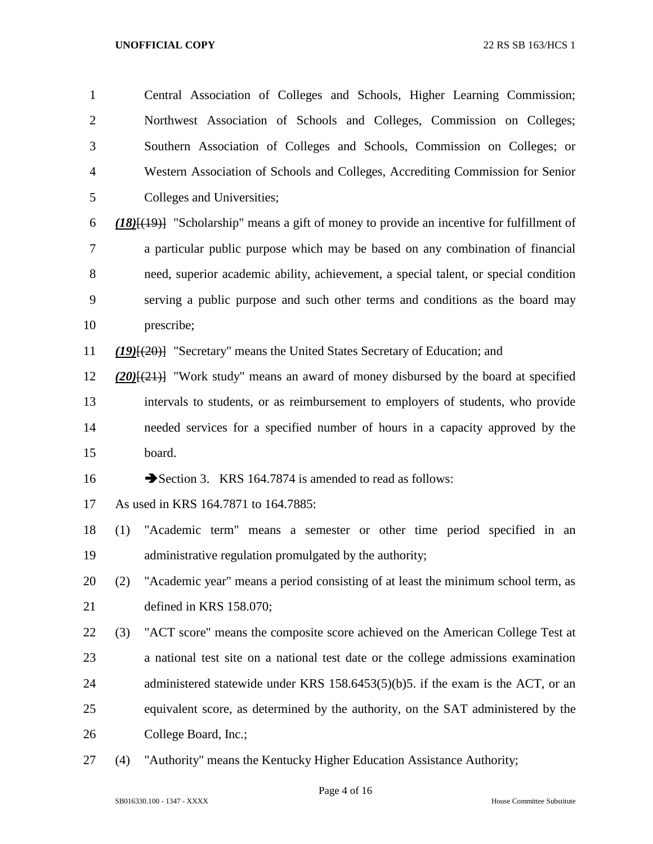| $\mathbf{1}$   |     | Central Association of Colleges and Schools, Higher Learning Commission;                  |
|----------------|-----|-------------------------------------------------------------------------------------------|
| $\overline{2}$ |     | Northwest Association of Schools and Colleges, Commission on Colleges;                    |
| 3              |     | Southern Association of Colleges and Schools, Commission on Colleges; or                  |
| 4              |     | Western Association of Schools and Colleges, Accrediting Commission for Senior            |
| 5              |     | Colleges and Universities;                                                                |
| 6              |     | $(18)(19)$ "Scholarship" means a gift of money to provide an incentive for fulfillment of |
| 7              |     | a particular public purpose which may be based on any combination of financial            |
| 8              |     | need, superior academic ability, achievement, a special talent, or special condition      |
| 9              |     | serving a public purpose and such other terms and conditions as the board may             |
| 10             |     | prescribe;                                                                                |
| 11             |     | $(19)(20)$ "Secretary" means the United States Secretary of Education; and                |
| 12             |     | $(20)$ $\{(21)$ "Work study" means an award of money disbursed by the board at specified  |
| 13             |     | intervals to students, or as reimbursement to employers of students, who provide          |
| 14             |     | needed services for a specified number of hours in a capacity approved by the             |
| 15             |     | board.                                                                                    |
| 16             |     | Section 3. KRS 164.7874 is amended to read as follows:                                    |
| 17             |     | As used in KRS 164.7871 to 164.7885:                                                      |
| 18             | (1) | "Academic term" means a semester or other time period specified in an                     |
| 19             |     | administrative regulation promulgated by the authority;                                   |
| 20             | (2) | "Academic year" means a period consisting of at least the minimum school term, as         |
| 21             |     | defined in KRS 158.070;                                                                   |
| 22             | (3) | "ACT score" means the composite score achieved on the American College Test at            |
| 23             |     | a national test site on a national test date or the college admissions examination        |
| 24             |     | administered statewide under KRS 158.6453(5)(b)5. if the exam is the ACT, or an           |
| 25             |     | equivalent score, as determined by the authority, on the SAT administered by the          |
| 26             |     | College Board, Inc.;                                                                      |
| 27             | (4) | "Authority" means the Kentucky Higher Education Assistance Authority;                     |

Page 4 of 16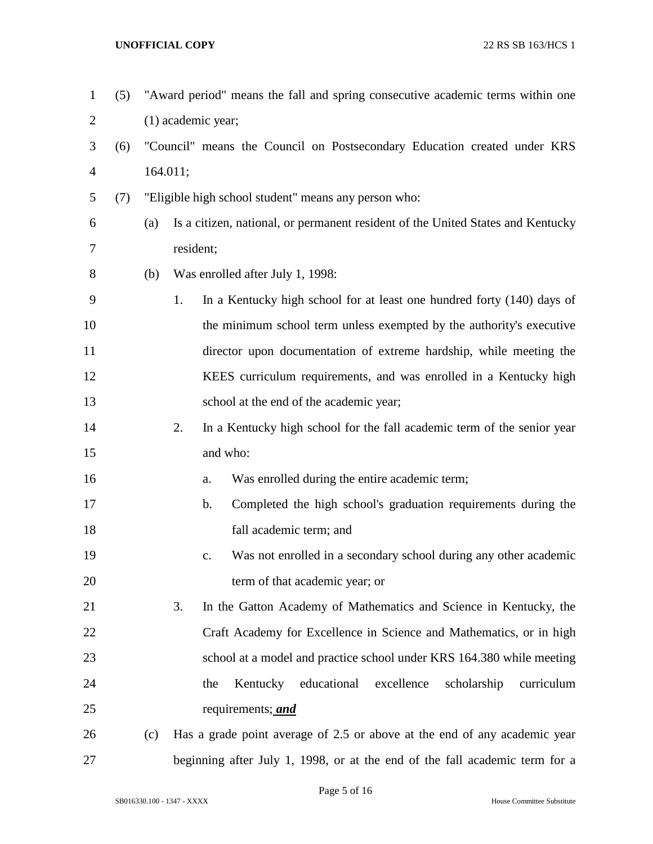| $\mathbf{1}$   | (5) |     | "Award period" means the fall and spring consecutive academic terms within one     |  |  |  |  |  |
|----------------|-----|-----|------------------------------------------------------------------------------------|--|--|--|--|--|
| $\overline{2}$ |     |     | $(1)$ academic year;                                                               |  |  |  |  |  |
| 3              | (6) |     | "Council" means the Council on Postsecondary Education created under KRS           |  |  |  |  |  |
| $\overline{4}$ |     |     | 164.011;                                                                           |  |  |  |  |  |
| 5              | (7) |     | "Eligible high school student" means any person who:                               |  |  |  |  |  |
| 6              |     | (a) | Is a citizen, national, or permanent resident of the United States and Kentucky    |  |  |  |  |  |
| 7              |     |     | resident;                                                                          |  |  |  |  |  |
| 8              |     | (b) | Was enrolled after July 1, 1998:                                                   |  |  |  |  |  |
| 9              |     |     | 1.<br>In a Kentucky high school for at least one hundred forty (140) days of       |  |  |  |  |  |
| 10             |     |     | the minimum school term unless exempted by the authority's executive               |  |  |  |  |  |
| 11             |     |     | director upon documentation of extreme hardship, while meeting the                 |  |  |  |  |  |
| 12             |     |     | KEES curriculum requirements, and was enrolled in a Kentucky high                  |  |  |  |  |  |
| 13             |     |     | school at the end of the academic year;                                            |  |  |  |  |  |
| 14             |     |     | 2.<br>In a Kentucky high school for the fall academic term of the senior year      |  |  |  |  |  |
| 15             |     |     | and who:                                                                           |  |  |  |  |  |
| 16             |     |     | Was enrolled during the entire academic term;<br>a.                                |  |  |  |  |  |
| 17             |     |     | $\mathbf b$ .<br>Completed the high school's graduation requirements during the    |  |  |  |  |  |
| 18             |     |     | fall academic term; and                                                            |  |  |  |  |  |
| 19             |     |     | Was not enrolled in a secondary school during any other academic<br>$\mathbf{c}$ . |  |  |  |  |  |
| 20             |     |     | term of that academic year; or                                                     |  |  |  |  |  |
| 21             |     |     | 3.<br>In the Gatton Academy of Mathematics and Science in Kentucky, the            |  |  |  |  |  |
| 22             |     |     | Craft Academy for Excellence in Science and Mathematics, or in high                |  |  |  |  |  |
| 23             |     |     | school at a model and practice school under KRS 164.380 while meeting              |  |  |  |  |  |
| 24             |     |     | educational<br>excellence<br>Kentucky<br>scholarship<br>curriculum<br>the          |  |  |  |  |  |
| 25             |     |     | requirements; <i>and</i>                                                           |  |  |  |  |  |
| 26             |     | (c) | Has a grade point average of 2.5 or above at the end of any academic year          |  |  |  |  |  |
| 27             |     |     | beginning after July 1, 1998, or at the end of the fall academic term for a        |  |  |  |  |  |

Page 5 of 16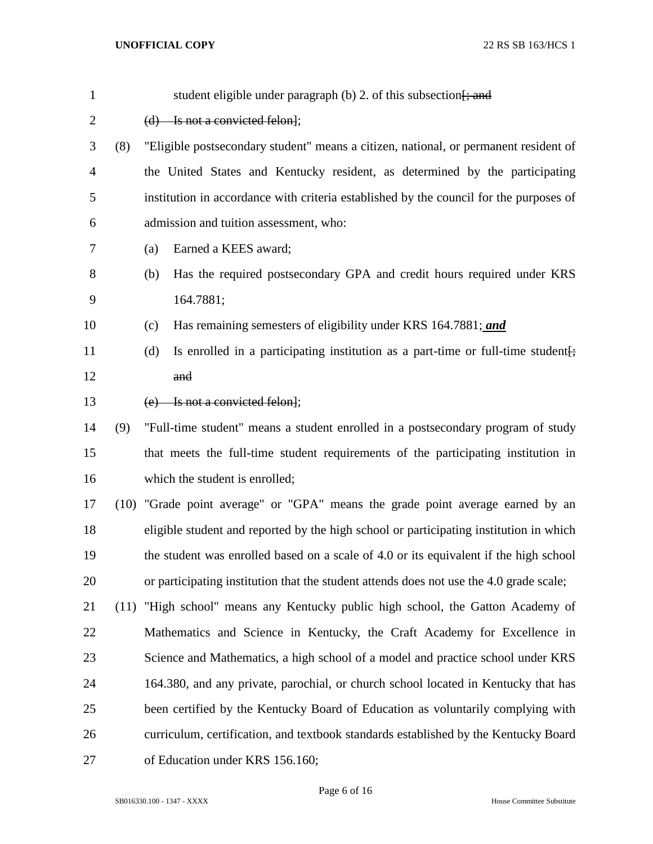| $\mathbf{1}$   |     | student eligible under paragraph (b) 2. of this subsection $\frac{1}{2}$ and            |
|----------------|-----|-----------------------------------------------------------------------------------------|
| $\overline{c}$ |     | $(d)$ Is not a convicted felon];                                                        |
| 3              | (8) | "Eligible postsecondary student" means a citizen, national, or permanent resident of    |
| $\overline{4}$ |     | the United States and Kentucky resident, as determined by the participating             |
| 5              |     | institution in accordance with criteria established by the council for the purposes of  |
| 6              |     | admission and tuition assessment, who:                                                  |
| 7              |     | Earned a KEES award;<br>(a)                                                             |
| 8              |     | Has the required postsecondary GPA and credit hours required under KRS<br>(b)           |
| 9              |     | 164.7881;                                                                               |
| 10             |     | Has remaining semesters of eligibility under KRS 164.7881; and<br>(c)                   |
| 11             |     | Is enrolled in a participating institution as a part-time or full-time student.<br>(d)  |
| 12             |     | and                                                                                     |
| 13             |     | (e) Is not a convicted felon];                                                          |
| 14             | (9) | "Full-time student" means a student enrolled in a postsecondary program of study        |
| 15             |     | that meets the full-time student requirements of the participating institution in       |
| 16             |     | which the student is enrolled;                                                          |
| 17             |     | (10) "Grade point average" or "GPA" means the grade point average earned by an          |
| 18             |     | eligible student and reported by the high school or participating institution in which  |
| 19             |     | the student was enrolled based on a scale of 4.0 or its equivalent if the high school   |
| 20             |     | or participating institution that the student attends does not use the 4.0 grade scale; |
| 21             |     | (11) "High school" means any Kentucky public high school, the Gatton Academy of         |
| 22             |     | Mathematics and Science in Kentucky, the Craft Academy for Excellence in                |
| 23             |     | Science and Mathematics, a high school of a model and practice school under KRS         |
| 24             |     | 164.380, and any private, parochial, or church school located in Kentucky that has      |
| 25             |     | been certified by the Kentucky Board of Education as voluntarily complying with         |
| 26             |     | curriculum, certification, and textbook standards established by the Kentucky Board     |
| 27             |     | of Education under KRS 156.160;                                                         |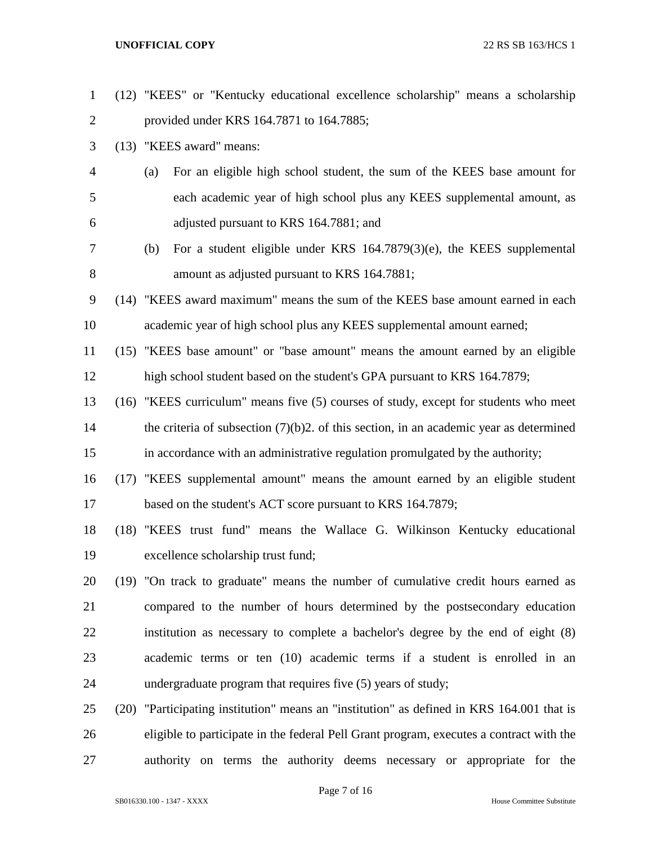(12) "KEES" or "Kentucky educational excellence scholarship" means a scholarship provided under KRS 164.7871 to 164.7885; (13) "KEES award" means: (a) For an eligible high school student, the sum of the KEES base amount for each academic year of high school plus any KEES supplemental amount, as adjusted pursuant to KRS 164.7881; and (b) For a student eligible under KRS 164.7879(3)(e), the KEES supplemental amount as adjusted pursuant to KRS 164.7881; (14) "KEES award maximum" means the sum of the KEES base amount earned in each academic year of high school plus any KEES supplemental amount earned; (15) "KEES base amount" or "base amount" means the amount earned by an eligible high school student based on the student's GPA pursuant to KRS 164.7879; (16) "KEES curriculum" means five (5) courses of study, except for students who meet the criteria of subsection (7)(b)2. of this section, in an academic year as determined in accordance with an administrative regulation promulgated by the authority; (17) "KEES supplemental amount" means the amount earned by an eligible student 17 based on the student's ACT score pursuant to KRS 164.7879; (18) "KEES trust fund" means the Wallace G. Wilkinson Kentucky educational excellence scholarship trust fund; (19) "On track to graduate" means the number of cumulative credit hours earned as compared to the number of hours determined by the postsecondary education institution as necessary to complete a bachelor's degree by the end of eight (8) academic terms or ten (10) academic terms if a student is enrolled in an undergraduate program that requires five (5) years of study; (20) "Participating institution" means an "institution" as defined in KRS 164.001 that is eligible to participate in the federal Pell Grant program, executes a contract with the authority on terms the authority deems necessary or appropriate for the

Page 7 of 16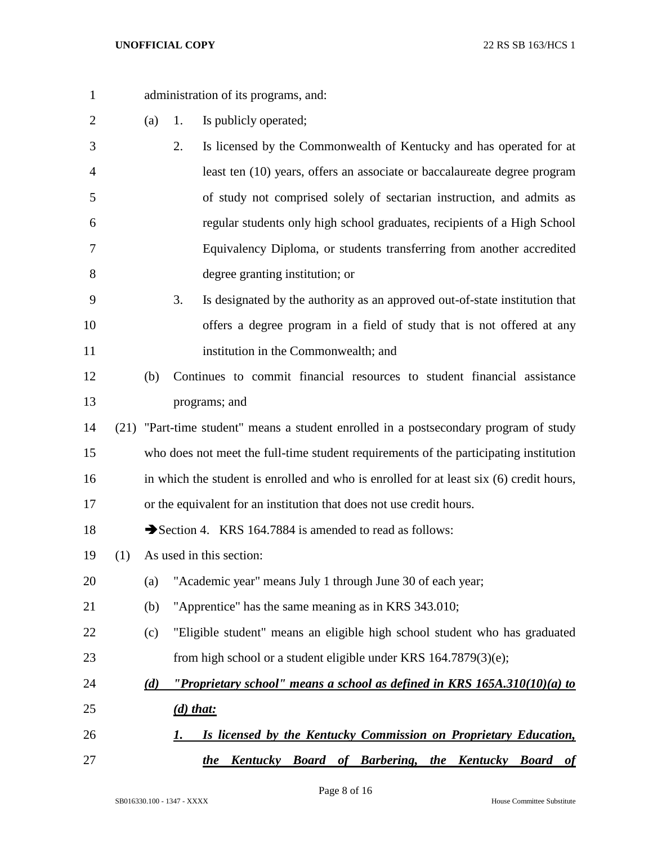| $\mathbf{1}$   |     | administration of its programs, and: |                                                                                         |  |  |  |  |  |
|----------------|-----|--------------------------------------|-----------------------------------------------------------------------------------------|--|--|--|--|--|
| $\overline{2}$ |     | (a)                                  | Is publicly operated;<br>1.                                                             |  |  |  |  |  |
| 3              |     |                                      | 2.<br>Is licensed by the Commonwealth of Kentucky and has operated for at               |  |  |  |  |  |
| 4              |     |                                      | least ten (10) years, offers an associate or baccalaureate degree program               |  |  |  |  |  |
| 5              |     |                                      | of study not comprised solely of sectarian instruction, and admits as                   |  |  |  |  |  |
| 6              |     |                                      | regular students only high school graduates, recipients of a High School                |  |  |  |  |  |
| 7              |     |                                      | Equivalency Diploma, or students transferring from another accredited                   |  |  |  |  |  |
| 8              |     |                                      | degree granting institution; or                                                         |  |  |  |  |  |
| 9              |     |                                      | 3.<br>Is designated by the authority as an approved out-of-state institution that       |  |  |  |  |  |
| 10             |     |                                      | offers a degree program in a field of study that is not offered at any                  |  |  |  |  |  |
| 11             |     |                                      | institution in the Commonwealth; and                                                    |  |  |  |  |  |
| 12             |     | (b)                                  | Continues to commit financial resources to student financial assistance                 |  |  |  |  |  |
| 13             |     |                                      | programs; and                                                                           |  |  |  |  |  |
| 14             |     |                                      | (21) "Part-time student" means a student enrolled in a postsecondary program of study   |  |  |  |  |  |
| 15             |     |                                      | who does not meet the full-time student requirements of the participating institution   |  |  |  |  |  |
| 16             |     |                                      | in which the student is enrolled and who is enrolled for at least six (6) credit hours, |  |  |  |  |  |
| 17             |     |                                      | or the equivalent for an institution that does not use credit hours.                    |  |  |  |  |  |
| 18             |     |                                      | Section 4. KRS 164.7884 is amended to read as follows:                                  |  |  |  |  |  |
| 19             | (1) |                                      | As used in this section:                                                                |  |  |  |  |  |
| 20             |     | (a)                                  | "Academic year" means July 1 through June 30 of each year;                              |  |  |  |  |  |
| 21             |     | (b)                                  | "Apprentice" has the same meaning as in KRS 343.010;                                    |  |  |  |  |  |
| 22             |     | (c)                                  | "Eligible student" means an eligible high school student who has graduated              |  |  |  |  |  |
| 23             |     |                                      | from high school or a student eligible under KRS 164.7879(3)(e);                        |  |  |  |  |  |
| 24             |     | (d)                                  | "Proprietary school" means a school as defined in KRS $165A.310(10)(a)$ to              |  |  |  |  |  |
| 25             |     |                                      | $(d)$ that:                                                                             |  |  |  |  |  |
| 26             |     |                                      | Is licensed by the Kentucky Commission on Proprietary Education,<br>I.                  |  |  |  |  |  |
| 27             |     |                                      | Kentucky Board of Barbering, the Kentucky Board of<br><i>the</i>                        |  |  |  |  |  |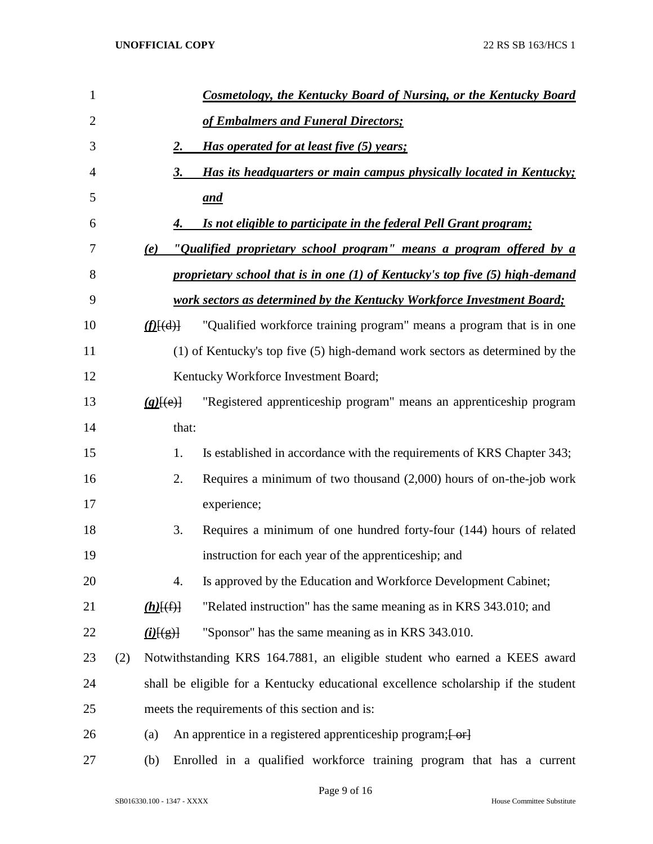| 1              |     |                           | <b>Cosmetology, the Kentucky Board of Nursing, or the Kentucky Board</b>           |
|----------------|-----|---------------------------|------------------------------------------------------------------------------------|
| $\overline{2}$ |     |                           | of Embalmers and Funeral Directors;                                                |
| 3              |     | 2.                        | <i>Has operated for at least five (5) years;</i>                                   |
| 4              |     | 3.                        | Has its headquarters or main campus physically located in Kentucky;                |
| 5              |     |                           | and                                                                                |
| 6              |     | 4.                        | Is not eligible to participate in the federal Pell Grant program;                  |
| 7              |     | (e)                       | "Qualified proprietary school program" means a program offered by a                |
| 8              |     |                           | proprietary school that is in one (1) of Kentucky's top five (5) high-demand       |
| 9              |     |                           | work sectors as determined by the Kentucky Workforce Investment Board;             |
| 10             |     | $(f)$ [(d)]               | "Qualified workforce training program" means a program that is in one              |
| 11             |     |                           | (1) of Kentucky's top five (5) high-demand work sectors as determined by the       |
| 12             |     |                           | Kentucky Workforce Investment Board;                                               |
| 13             |     | $(g)$ [(e)]               | "Registered apprenticeship program" means an apprenticeship program                |
| 14             |     | that:                     |                                                                                    |
| 15             |     | 1.                        | Is established in accordance with the requirements of KRS Chapter 343;             |
| 16             |     | 2.                        | Requires a minimum of two thousand $(2,000)$ hours of on-the-job work              |
| 17             |     |                           | experience;                                                                        |
| 18             |     | 3.                        | Requires a minimum of one hundred forty-four (144) hours of related                |
| 19             |     |                           | instruction for each year of the apprenticeship; and                               |
| 20             |     | 4.                        | Is approved by the Education and Workforce Development Cabinet;                    |
| 21             |     | $(h)$ $(f)$               | "Related instruction" has the same meaning as in KRS 343.010; and                  |
| 22             |     | $\underline{(i)}$ $\xi$ ) | "Sponsor" has the same meaning as in KRS 343.010.                                  |
| 23             | (2) |                           | Notwithstanding KRS 164.7881, an eligible student who earned a KEES award          |
| 24             |     |                           | shall be eligible for a Kentucky educational excellence scholarship if the student |
| 25             |     |                           | meets the requirements of this section and is:                                     |
| 26             |     | (a)                       | An apprentice in a registered apprenticeship program; [ or]                        |
| 27             |     | (b)                       | Enrolled in a qualified workforce training program that has a current              |

Page 9 of 16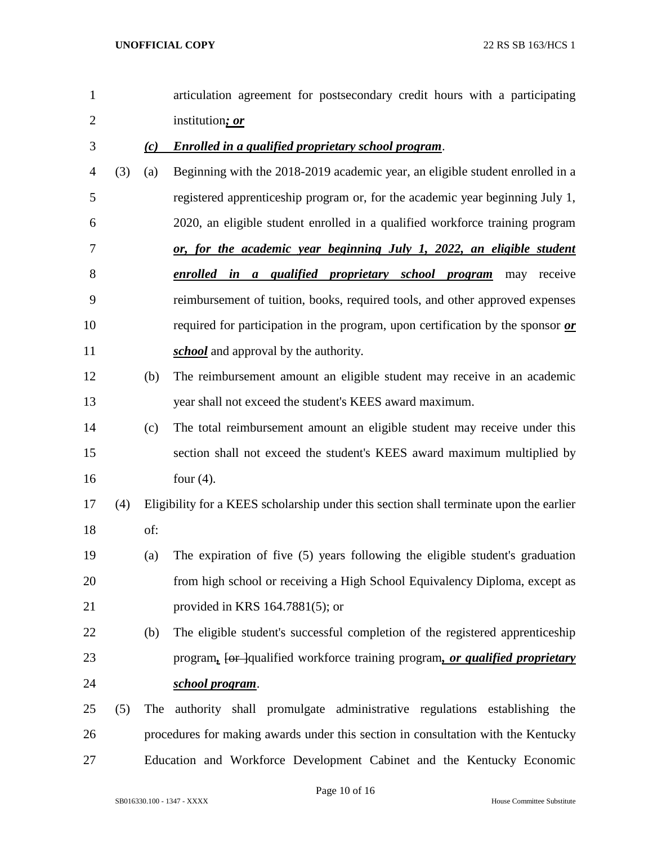| $\mathbf{1}$   |     |     | articulation agreement for postsecondary credit hours with a participating             |
|----------------|-----|-----|----------------------------------------------------------------------------------------|
| $\overline{2}$ |     |     | institution; or                                                                        |
| 3              |     | (c) | <b>Enrolled in a qualified proprietary school program.</b>                             |
| 4              | (3) | (a) | Beginning with the 2018-2019 academic year, an eligible student enrolled in a          |
| 5              |     |     | registered apprenticeship program or, for the academic year beginning July 1,          |
| 6              |     |     | 2020, an eligible student enrolled in a qualified workforce training program           |
| 7              |     |     | or, for the academic year beginning July 1, 2022, an eligible student                  |
| 8              |     |     | enrolled in a qualified proprietary school program<br>receive<br>may                   |
| 9              |     |     | reimbursement of tuition, books, required tools, and other approved expenses           |
| 10             |     |     | required for participation in the program, upon certification by the sponsor or        |
| 11             |     |     | <i>school</i> and approval by the authority.                                           |
| 12             |     | (b) | The reimbursement amount an eligible student may receive in an academic                |
| 13             |     |     | year shall not exceed the student's KEES award maximum.                                |
| 14             |     | (c) | The total reimbursement amount an eligible student may receive under this              |
| 15             |     |     | section shall not exceed the student's KEES award maximum multiplied by                |
| 16             |     |     | four $(4)$ .                                                                           |
| 17             | (4) |     | Eligibility for a KEES scholarship under this section shall terminate upon the earlier |
| 18             |     | of: |                                                                                        |
| 19             |     | (a) | The expiration of five (5) years following the eligible student's graduation           |
| 20             |     |     | from high school or receiving a High School Equivalency Diploma, except as             |
| 21             |     |     | provided in KRS $164.7881(5)$ ; or                                                     |
| 22             |     | (b) | The eligible student's successful completion of the registered apprenticeship          |
| 23             |     |     | program, [or ]qualified workforce training program, or qualified proprietary           |
| 24             |     |     | school program.                                                                        |
| 25             | (5) | The | authority shall promulgate administrative regulations establishing the                 |
| 26             |     |     | procedures for making awards under this section in consultation with the Kentucky      |
| 27             |     |     | Education and Workforce Development Cabinet and the Kentucky Economic                  |

Page 10 of 16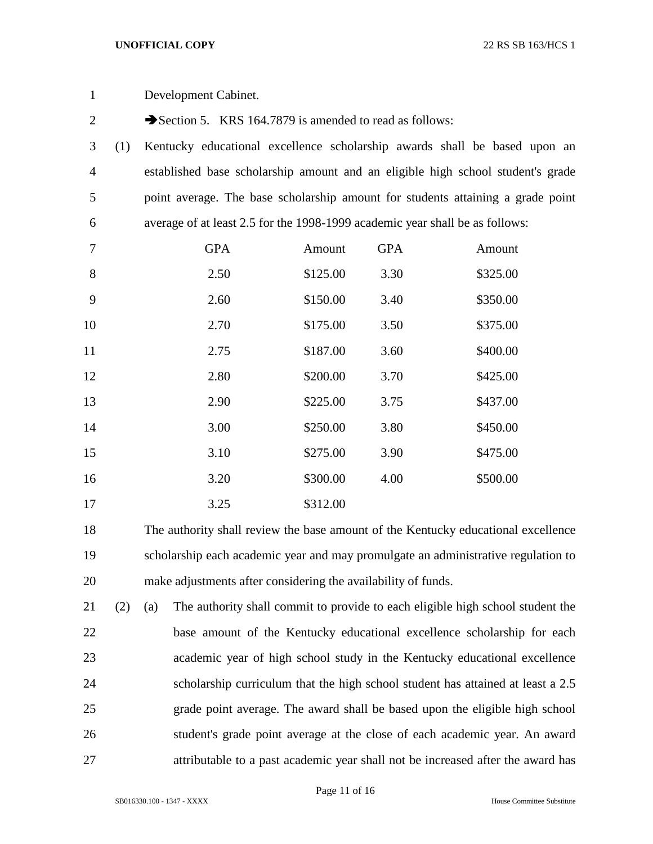| $\mathbf{1}$   |     | Development Cabinet.                                                         |          |            |                                                                                   |  |  |  |
|----------------|-----|------------------------------------------------------------------------------|----------|------------|-----------------------------------------------------------------------------------|--|--|--|
| $\overline{2}$ |     | Section 5. KRS 164.7879 is amended to read as follows:                       |          |            |                                                                                   |  |  |  |
| 3              | (1) |                                                                              |          |            | Kentucky educational excellence scholarship awards shall be based upon an         |  |  |  |
| $\overline{4}$ |     |                                                                              |          |            | established base scholarship amount and an eligible high school student's grade   |  |  |  |
| 5              |     |                                                                              |          |            | point average. The base scholarship amount for students attaining a grade point   |  |  |  |
| 6              |     | average of at least 2.5 for the 1998-1999 academic year shall be as follows: |          |            |                                                                                   |  |  |  |
| 7              |     | <b>GPA</b>                                                                   | Amount   | <b>GPA</b> | Amount                                                                            |  |  |  |
| 8              |     | 2.50                                                                         | \$125.00 | 3.30       | \$325.00                                                                          |  |  |  |
| 9              |     | 2.60                                                                         | \$150.00 | 3.40       | \$350.00                                                                          |  |  |  |
| 10             |     | 2.70                                                                         | \$175.00 | 3.50       | \$375.00                                                                          |  |  |  |
| 11             |     | 2.75                                                                         | \$187.00 | 3.60       | \$400.00                                                                          |  |  |  |
| 12             |     | 2.80                                                                         | \$200.00 | 3.70       | \$425.00                                                                          |  |  |  |
| 13             |     | 2.90                                                                         | \$225.00 | 3.75       | \$437.00                                                                          |  |  |  |
| 14             |     | 3.00                                                                         | \$250.00 | 3.80       | \$450.00                                                                          |  |  |  |
| 15             |     | 3.10                                                                         | \$275.00 | 3.90       | \$475.00                                                                          |  |  |  |
| 16             |     | 3.20                                                                         | \$300.00 | 4.00       | \$500.00                                                                          |  |  |  |
| 17             |     | 3.25                                                                         | \$312.00 |            |                                                                                   |  |  |  |
| 18             |     |                                                                              |          |            | The authority shall review the base amount of the Kentucky educational excellence |  |  |  |

 scholarship each academic year and may promulgate an administrative regulation to make adjustments after considering the availability of funds.

 (2) (a) The authority shall commit to provide to each eligible high school student the base amount of the Kentucky educational excellence scholarship for each academic year of high school study in the Kentucky educational excellence scholarship curriculum that the high school student has attained at least a 2.5 grade point average. The award shall be based upon the eligible high school student's grade point average at the close of each academic year. An award attributable to a past academic year shall not be increased after the award has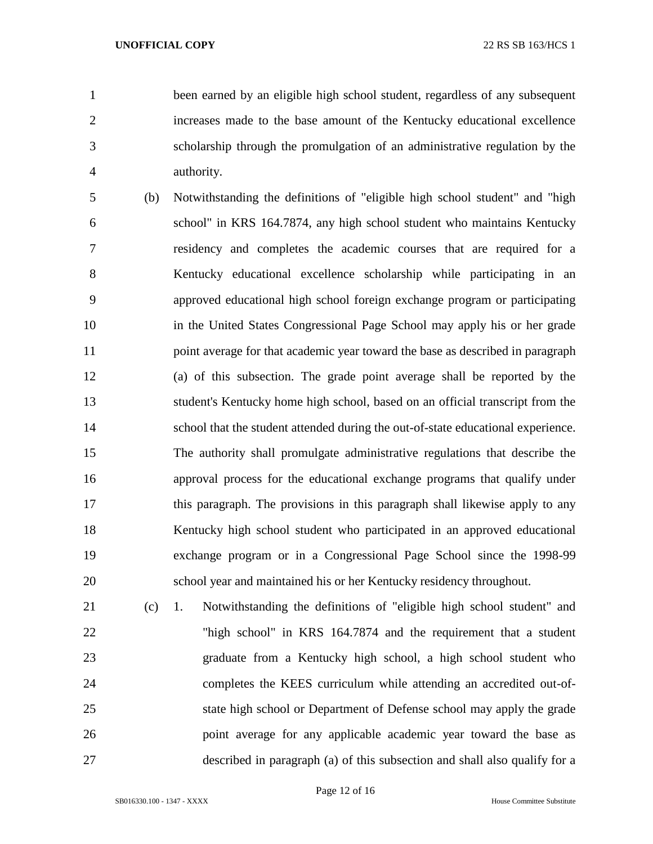been earned by an eligible high school student, regardless of any subsequent increases made to the base amount of the Kentucky educational excellence scholarship through the promulgation of an administrative regulation by the authority.

- (b) Notwithstanding the definitions of "eligible high school student" and "high school" in KRS 164.7874, any high school student who maintains Kentucky residency and completes the academic courses that are required for a Kentucky educational excellence scholarship while participating in an approved educational high school foreign exchange program or participating in the United States Congressional Page School may apply his or her grade 11 point average for that academic year toward the base as described in paragraph (a) of this subsection. The grade point average shall be reported by the student's Kentucky home high school, based on an official transcript from the school that the student attended during the out-of-state educational experience. The authority shall promulgate administrative regulations that describe the approval process for the educational exchange programs that qualify under this paragraph. The provisions in this paragraph shall likewise apply to any Kentucky high school student who participated in an approved educational exchange program or in a Congressional Page School since the 1998-99 school year and maintained his or her Kentucky residency throughout.
- (c) 1. Notwithstanding the definitions of "eligible high school student" and "high school" in KRS 164.7874 and the requirement that a student graduate from a Kentucky high school, a high school student who completes the KEES curriculum while attending an accredited out-of- state high school or Department of Defense school may apply the grade point average for any applicable academic year toward the base as described in paragraph (a) of this subsection and shall also qualify for a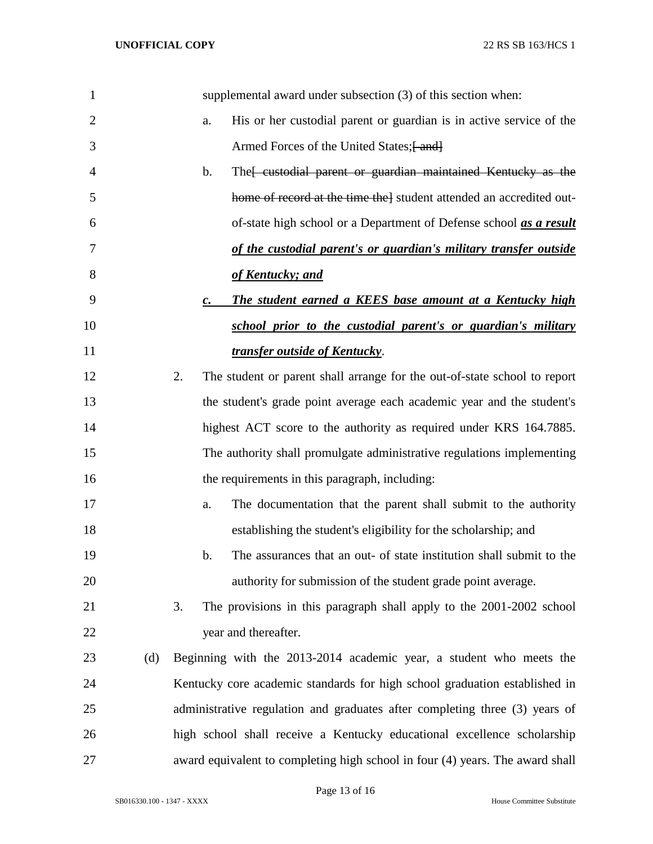| 1              |     | supplemental award under subsection (3) of this section when:                   |
|----------------|-----|---------------------------------------------------------------------------------|
| $\overline{2}$ |     | His or her custodial parent or guardian is in active service of the<br>a.       |
| 3              |     | Armed Forces of the United States; [ and]                                       |
| 4              |     | The eustodial parent or guardian maintained Kentucky as the<br>b.               |
| 5              |     | home of record at the time the] student attended an accredited out-             |
| 6              |     | of-state high school or a Department of Defense school <i>as a result</i>       |
| 7              |     | of the custodial parent's or guardian's military transfer outside               |
| 8              |     | of Kentucky; and                                                                |
| 9              |     | The student earned a KEES base amount at a Kentucky high<br>$\mathbf{c}$ .      |
| 10             |     | school prior to the custodial parent's or guardian's military                   |
| 11             |     | <i>transfer outside of Kentucky.</i>                                            |
| 12             |     | 2.<br>The student or parent shall arrange for the out-of-state school to report |
| 13             |     | the student's grade point average each academic year and the student's          |
| 14             |     | highest ACT score to the authority as required under KRS 164.7885.              |
| 15             |     | The authority shall promulgate administrative regulations implementing          |
| 16             |     | the requirements in this paragraph, including:                                  |
| 17             |     | The documentation that the parent shall submit to the authority<br>a.           |
| 18             |     | establishing the student's eligibility for the scholarship; and                 |
| 19             |     | b.<br>The assurances that an out- of state institution shall submit to the      |
| 20             |     | authority for submission of the student grade point average.                    |
| 21             |     | 3.<br>The provisions in this paragraph shall apply to the 2001-2002 school      |
| 22             |     | year and thereafter.                                                            |
| 23             | (d) | Beginning with the 2013-2014 academic year, a student who meets the             |
| 24             |     | Kentucky core academic standards for high school graduation established in      |
| 25             |     | administrative regulation and graduates after completing three (3) years of     |
| 26             |     | high school shall receive a Kentucky educational excellence scholarship         |
| 27             |     | award equivalent to completing high school in four (4) years. The award shall   |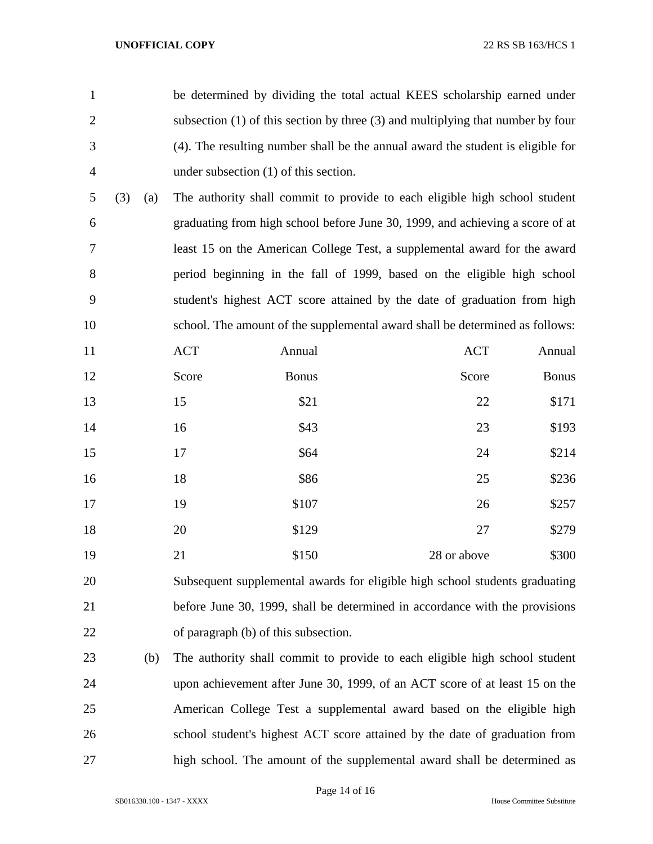| $\mathbf{1}$   |     |     |            | be determined by dividing the total actual KEES scholarship earned under            |             |              |
|----------------|-----|-----|------------|-------------------------------------------------------------------------------------|-------------|--------------|
| $\overline{2}$ |     |     |            | subsection $(1)$ of this section by three $(3)$ and multiplying that number by four |             |              |
| 3              |     |     |            | (4). The resulting number shall be the annual award the student is eligible for     |             |              |
| $\overline{4}$ |     |     |            | under subsection $(1)$ of this section.                                             |             |              |
| 5              | (3) | (a) |            | The authority shall commit to provide to each eligible high school student          |             |              |
| 6              |     |     |            | graduating from high school before June 30, 1999, and achieving a score of at       |             |              |
| 7              |     |     |            | least 15 on the American College Test, a supplemental award for the award           |             |              |
| 8              |     |     |            | period beginning in the fall of 1999, based on the eligible high school             |             |              |
| 9              |     |     |            | student's highest ACT score attained by the date of graduation from high            |             |              |
| 10             |     |     |            | school. The amount of the supplemental award shall be determined as follows:        |             |              |
| 11             |     |     | <b>ACT</b> | Annual                                                                              | <b>ACT</b>  | Annual       |
| 12             |     |     | Score      | <b>Bonus</b>                                                                        | Score       | <b>Bonus</b> |
| 13             |     |     | 15         | \$21                                                                                | 22          | \$171        |
| 14             |     |     | 16         | \$43                                                                                | 23          | \$193        |
| 15             |     |     | 17         | \$64                                                                                | 24          | \$214        |
| 16             |     |     | 18         | \$86                                                                                | 25          | \$236        |
| 17             |     |     | 19         | \$107                                                                               | 26          | \$257        |
| 18             |     |     | 20         | \$129                                                                               | 27          | \$279        |
| 19             |     |     | 21         | \$150                                                                               | 28 or above | \$300        |
| 20             |     |     |            | Subsequent supplemental awards for eligible high school students graduating         |             |              |
| 21             |     |     |            | before June 30, 1999, shall be determined in accordance with the provisions         |             |              |
| 22             |     |     |            | of paragraph (b) of this subsection.                                                |             |              |
| 23             |     | (b) |            | The authority shall commit to provide to each eligible high school student          |             |              |
|                |     |     |            |                                                                                     |             |              |

 upon achievement after June 30, 1999, of an ACT score of at least 15 on the American College Test a supplemental award based on the eligible high school student's highest ACT score attained by the date of graduation from high school. The amount of the supplemental award shall be determined as

SB016330.100 - 1347 - XXXX House Committee Substitute

Page 14 of 16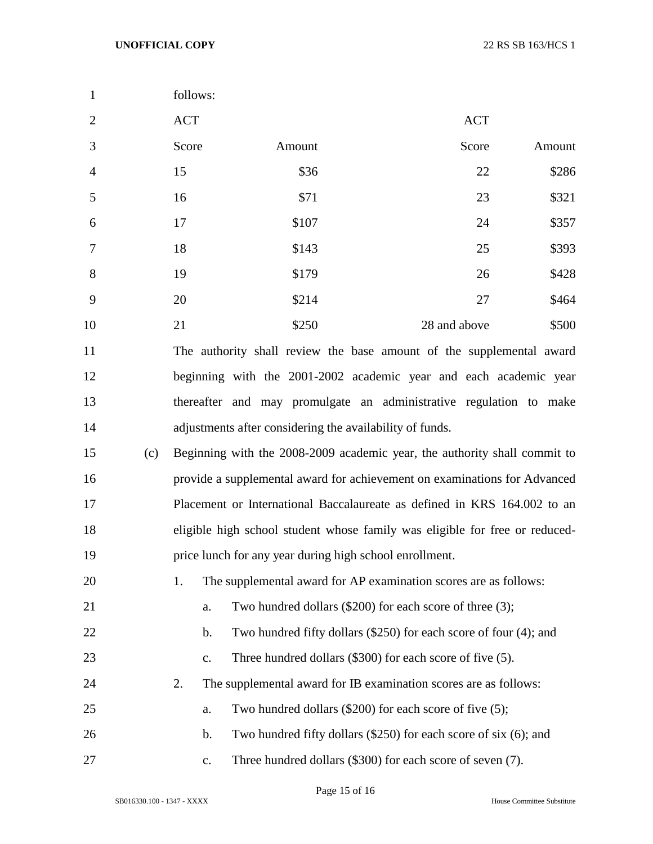| $\mathbf{1}$   |     | follows:       |                                                                             |              |        |
|----------------|-----|----------------|-----------------------------------------------------------------------------|--------------|--------|
| $\overline{2}$ |     | <b>ACT</b>     |                                                                             | <b>ACT</b>   |        |
| 3              |     | Score          | Amount                                                                      | Score        | Amount |
| $\overline{4}$ |     | 15             | \$36                                                                        | 22           | \$286  |
| 5              |     | 16             | \$71                                                                        | 23           | \$321  |
| 6              |     | 17             | \$107                                                                       | 24           | \$357  |
| 7              |     | 18             | \$143                                                                       | 25           | \$393  |
| 8              |     | 19             | \$179                                                                       | 26           | \$428  |
| 9              |     | 20             | \$214                                                                       | 27           | \$464  |
| 10             |     | 21             | \$250                                                                       | 28 and above | \$500  |
| 11             |     |                | The authority shall review the base amount of the supplemental award        |              |        |
| 12             |     |                | beginning with the 2001-2002 academic year and each academic year           |              |        |
| 13             |     |                | thereafter and may promulgate an administrative regulation to make          |              |        |
| 14             |     |                | adjustments after considering the availability of funds.                    |              |        |
| 15             | (c) |                | Beginning with the 2008-2009 academic year, the authority shall commit to   |              |        |
| 16             |     |                | provide a supplemental award for achievement on examinations for Advanced   |              |        |
| 17             |     |                | Placement or International Baccalaureate as defined in KRS 164.002 to an    |              |        |
| 18             |     |                | eligible high school student whose family was eligible for free or reduced- |              |        |
| 19             |     |                | price lunch for any year during high school enrollment.                     |              |        |
| 20             |     | 1.             | The supplemental award for AP examination scores are as follows:            |              |        |
| 21             |     | a.             | Two hundred dollars (\$200) for each score of three (3);                    |              |        |
| 22             |     | b.             | Two hundred fifty dollars (\$250) for each score of four (4); and           |              |        |
| 23             |     | c.             | Three hundred dollars (\$300) for each score of five (5).                   |              |        |
| 24             |     | 2.             | The supplemental award for IB examination scores are as follows:            |              |        |
| 25             |     | a.             | Two hundred dollars (\$200) for each score of five (5);                     |              |        |
| 26             |     | b.             | Two hundred fifty dollars $(\$250)$ for each score of six $(6)$ ; and       |              |        |
| 27             |     | $\mathbf{C}$ . | Three hundred dollars (\$300) for each score of seven (7).                  |              |        |

Page 15 of 16